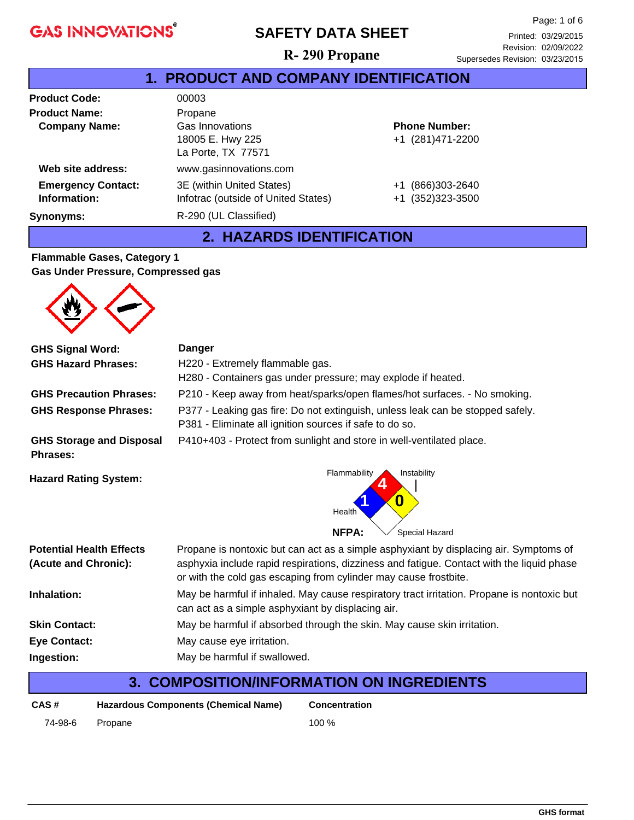### **SAFETY DATA SHEET** Printed: 03/29/2015

**R- 290 Propane**

Page: 1 of 6 Revision: 02/09/2022 Supersedes Revision: 03/23/2015

#### **1. PRODUCT AND COMPANY IDENTIFICATION**

| <b>Product Code:</b>                      | 00003                                                            |                                          |
|-------------------------------------------|------------------------------------------------------------------|------------------------------------------|
| <b>Product Name:</b>                      | Propane                                                          |                                          |
| <b>Company Name:</b>                      | Gas Innovations<br>18005 E. Hwy 225<br>La Porte, TX 77571        | <b>Phone Number:</b><br>+1 (281)471-2200 |
| Web site address:                         | www.gasinnovations.com                                           |                                          |
| <b>Emergency Contact:</b><br>Information: | 3E (within United States)<br>Infotrac (outside of United States) | (866)303-2640<br>+1 (352)323-3500        |
| Synonyms:                                 | R-290 (UL Classified)                                            |                                          |

#### **2. HAZARDS IDENTIFICATION**

#### **Flammable Gases, Category 1 Gas Under Pressure, Compressed gas**



| <b>GHS Signal Word:</b>                                 | <b>Danger</b>                                                                                                                                                                                                                                          |  |  |
|---------------------------------------------------------|--------------------------------------------------------------------------------------------------------------------------------------------------------------------------------------------------------------------------------------------------------|--|--|
| <b>GHS Hazard Phrases:</b>                              | H220 - Extremely flammable gas.                                                                                                                                                                                                                        |  |  |
|                                                         | H280 - Containers gas under pressure; may explode if heated.                                                                                                                                                                                           |  |  |
| <b>GHS Precaution Phrases:</b>                          | P210 - Keep away from heat/sparks/open flames/hot surfaces. - No smoking.                                                                                                                                                                              |  |  |
| <b>GHS Response Phrases:</b>                            | P377 - Leaking gas fire: Do not extinguish, unless leak can be stopped safely.<br>P381 - Eliminate all ignition sources if safe to do so.                                                                                                              |  |  |
| <b>GHS Storage and Disposal</b><br><b>Phrases:</b>      | P410+403 - Protect from sunlight and store in well-ventilated place.                                                                                                                                                                                   |  |  |
| <b>Hazard Rating System:</b>                            | Flammability<br>Instability<br>$\boldsymbol{0}$<br>Health                                                                                                                                                                                              |  |  |
|                                                         | <b>NFPA:</b><br>Special Hazard                                                                                                                                                                                                                         |  |  |
| <b>Potential Health Effects</b><br>(Acute and Chronic): | Propane is nontoxic but can act as a simple asphyxiant by displacing air. Symptoms of<br>asphyxia include rapid respirations, dizziness and fatigue. Contact with the liquid phase<br>or with the cold gas escaping from cylinder may cause frostbite. |  |  |
| Inhalation:                                             | May be harmful if inhaled. May cause respiratory tract irritation. Propane is nontoxic but<br>can act as a simple asphyxiant by displacing air.                                                                                                        |  |  |
| <b>Skin Contact:</b>                                    | May be harmful if absorbed through the skin. May cause skin irritation.                                                                                                                                                                                |  |  |
| <b>Eye Contact:</b>                                     | May cause eye irritation.                                                                                                                                                                                                                              |  |  |
| Ingestion:                                              | May be harmful if swallowed.                                                                                                                                                                                                                           |  |  |
|                                                         |                                                                                                                                                                                                                                                        |  |  |

### **3. COMPOSITION/INFORMATION ON INGREDIENTS**

| CAS#    | <b>Hazardous Components (Chemical Name)</b> | <b>Concentration</b> |
|---------|---------------------------------------------|----------------------|
| 74-98-6 | Propane                                     | 100 %                |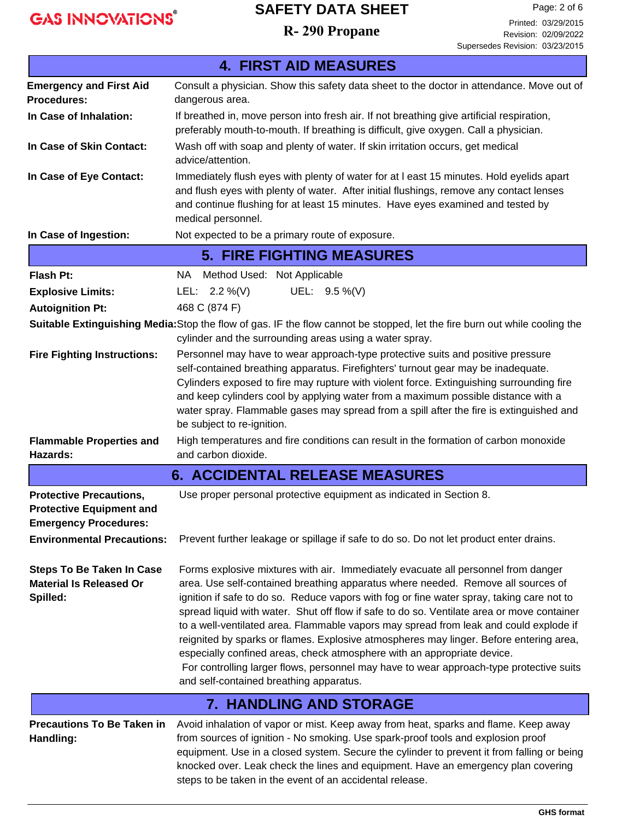### **SAFETY DATA SHEET** Page: 2 of 6

**R- 290 Propane**

|                                                                                                   | <b>4. FIRST AID MEASURES</b>                                                                                                                                                                                                                                                                                                                                                                                                                                                                                                                                                                                                                                                                                                                                         |  |  |  |
|---------------------------------------------------------------------------------------------------|----------------------------------------------------------------------------------------------------------------------------------------------------------------------------------------------------------------------------------------------------------------------------------------------------------------------------------------------------------------------------------------------------------------------------------------------------------------------------------------------------------------------------------------------------------------------------------------------------------------------------------------------------------------------------------------------------------------------------------------------------------------------|--|--|--|
| <b>Emergency and First Aid</b>                                                                    | Consult a physician. Show this safety data sheet to the doctor in attendance. Move out of                                                                                                                                                                                                                                                                                                                                                                                                                                                                                                                                                                                                                                                                            |  |  |  |
| <b>Procedures:</b>                                                                                | dangerous area.                                                                                                                                                                                                                                                                                                                                                                                                                                                                                                                                                                                                                                                                                                                                                      |  |  |  |
| In Case of Inhalation:                                                                            | If breathed in, move person into fresh air. If not breathing give artificial respiration,<br>preferably mouth-to-mouth. If breathing is difficult, give oxygen. Call a physician.                                                                                                                                                                                                                                                                                                                                                                                                                                                                                                                                                                                    |  |  |  |
| In Case of Skin Contact:                                                                          | Wash off with soap and plenty of water. If skin irritation occurs, get medical<br>advice/attention.                                                                                                                                                                                                                                                                                                                                                                                                                                                                                                                                                                                                                                                                  |  |  |  |
| In Case of Eye Contact:                                                                           | Immediately flush eyes with plenty of water for at I east 15 minutes. Hold eyelids apart<br>and flush eyes with plenty of water. After initial flushings, remove any contact lenses<br>and continue flushing for at least 15 minutes. Have eyes examined and tested by<br>medical personnel.                                                                                                                                                                                                                                                                                                                                                                                                                                                                         |  |  |  |
| In Case of Ingestion:                                                                             | Not expected to be a primary route of exposure.                                                                                                                                                                                                                                                                                                                                                                                                                                                                                                                                                                                                                                                                                                                      |  |  |  |
|                                                                                                   | <b>5. FIRE FIGHTING MEASURES</b>                                                                                                                                                                                                                                                                                                                                                                                                                                                                                                                                                                                                                                                                                                                                     |  |  |  |
| Flash Pt:                                                                                         | NA Method Used: Not Applicable                                                                                                                                                                                                                                                                                                                                                                                                                                                                                                                                                                                                                                                                                                                                       |  |  |  |
| <b>Explosive Limits:</b>                                                                          | UEL: 9.5 %(V)<br>LEL: $2.2\%$ (V)                                                                                                                                                                                                                                                                                                                                                                                                                                                                                                                                                                                                                                                                                                                                    |  |  |  |
| <b>Autoignition Pt:</b>                                                                           | 468 C (874 F)                                                                                                                                                                                                                                                                                                                                                                                                                                                                                                                                                                                                                                                                                                                                                        |  |  |  |
|                                                                                                   | Suitable Extinguishing Media: Stop the flow of gas. IF the flow cannot be stopped, let the fire burn out while cooling the<br>cylinder and the surrounding areas using a water spray.                                                                                                                                                                                                                                                                                                                                                                                                                                                                                                                                                                                |  |  |  |
| <b>Fire Fighting Instructions:</b>                                                                | Personnel may have to wear approach-type protective suits and positive pressure<br>self-contained breathing apparatus. Firefighters' turnout gear may be inadequate.<br>Cylinders exposed to fire may rupture with violent force. Extinguishing surrounding fire<br>and keep cylinders cool by applying water from a maximum possible distance with a<br>water spray. Flammable gases may spread from a spill after the fire is extinguished and<br>be subject to re-ignition.                                                                                                                                                                                                                                                                                       |  |  |  |
| <b>Flammable Properties and</b><br>Hazards:                                                       | High temperatures and fire conditions can result in the formation of carbon monoxide<br>and carbon dioxide.                                                                                                                                                                                                                                                                                                                                                                                                                                                                                                                                                                                                                                                          |  |  |  |
|                                                                                                   | <b>6. ACCIDENTAL RELEASE MEASURES</b>                                                                                                                                                                                                                                                                                                                                                                                                                                                                                                                                                                                                                                                                                                                                |  |  |  |
| <b>Protective Precautions,</b><br><b>Protective Equipment and</b><br><b>Emergency Procedures:</b> | Use proper personal protective equipment as indicated in Section 8.                                                                                                                                                                                                                                                                                                                                                                                                                                                                                                                                                                                                                                                                                                  |  |  |  |
| <b>Environmental Precautions:</b>                                                                 | Prevent further leakage or spillage if safe to do so. Do not let product enter drains.                                                                                                                                                                                                                                                                                                                                                                                                                                                                                                                                                                                                                                                                               |  |  |  |
| <b>Steps To Be Taken In Case</b><br><b>Material Is Released Or</b><br>Spilled:                    | Forms explosive mixtures with air. Immediately evacuate all personnel from danger<br>area. Use self-contained breathing apparatus where needed. Remove all sources of<br>ignition if safe to do so. Reduce vapors with fog or fine water spray, taking care not to<br>spread liquid with water. Shut off flow if safe to do so. Ventilate area or move container<br>to a well-ventilated area. Flammable vapors may spread from leak and could explode if<br>reignited by sparks or flames. Explosive atmospheres may linger. Before entering area,<br>especially confined areas, check atmosphere with an appropriate device.<br>For controlling larger flows, personnel may have to wear approach-type protective suits<br>and self-contained breathing apparatus. |  |  |  |
|                                                                                                   | 7. HANDLING AND STORAGE                                                                                                                                                                                                                                                                                                                                                                                                                                                                                                                                                                                                                                                                                                                                              |  |  |  |
| <b>Precautions To Be Taken in</b><br>Handling:                                                    | Avoid inhalation of vapor or mist. Keep away from heat, sparks and flame. Keep away<br>from sources of ignition - No smoking. Use spark-proof tools and explosion proof<br>equipment. Use in a closed system. Secure the cylinder to prevent it from falling or being<br>knocked over. Leak check the lines and equipment. Have an emergency plan covering<br>steps to be taken in the event of an accidental release.                                                                                                                                                                                                                                                                                                                                               |  |  |  |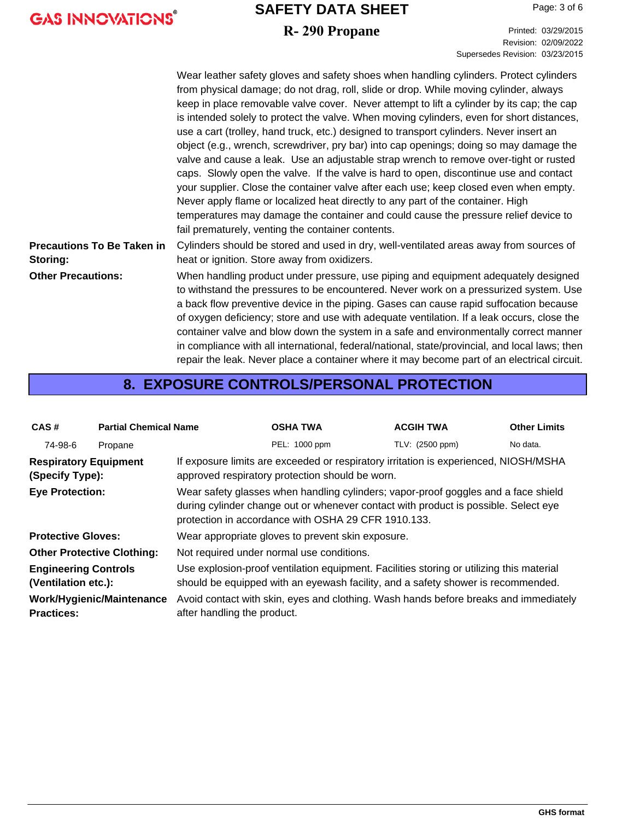# **SAFETY DATA SHEET** Page: 3 of 6

**R- 290 Propane** Printed: 03/29/2015 Revision: 02/09/2022 Supersedes Revision: 03/23/2015

|                                               | Wear leather safety gloves and safety shoes when handling cylinders. Protect cylinders<br>from physical damage; do not drag, roll, slide or drop. While moving cylinder, always<br>keep in place removable valve cover. Never attempt to lift a cylinder by its cap; the cap<br>is intended solely to protect the valve. When moving cylinders, even for short distances,<br>use a cart (trolley, hand truck, etc.) designed to transport cylinders. Never insert an                                                                                                                              |
|-----------------------------------------------|---------------------------------------------------------------------------------------------------------------------------------------------------------------------------------------------------------------------------------------------------------------------------------------------------------------------------------------------------------------------------------------------------------------------------------------------------------------------------------------------------------------------------------------------------------------------------------------------------|
|                                               | object (e.g., wrench, screwdriver, pry bar) into cap openings; doing so may damage the<br>valve and cause a leak. Use an adjustable strap wrench to remove over-tight or rusted<br>caps. Slowly open the valve. If the valve is hard to open, discontinue use and contact<br>your supplier. Close the container valve after each use; keep closed even when empty.<br>Never apply flame or localized heat directly to any part of the container. High<br>temperatures may damage the container and could cause the pressure relief device to<br>fail prematurely, venting the container contents. |
| <b>Precautions To Be Taken in</b><br>Storing: | Cylinders should be stored and used in dry, well-ventilated areas away from sources of<br>heat or ignition. Store away from oxidizers.                                                                                                                                                                                                                                                                                                                                                                                                                                                            |
| <b>Other Precautions:</b>                     | When handling product under pressure, use piping and equipment adequately designed<br>to withstand the pressures to be encountered. Never work on a pressurized system. Use<br>a back flow preventive device in the piping. Gases can cause rapid suffocation because<br>of oxygen deficiency; store and use with adequate ventilation. If a leak occurs, close the<br>container valve and blow down the system in a safe and environmentally correct manner<br>in compliance with all international, federal/national, state/provincial, and local laws; then                                    |

### **8. EXPOSURE CONTROLS/PERSONAL PROTECTION**

repair the leak. Never place a container where it may become part of an electrical circuit.

| CAS#                                                                                                                                                                                       | <b>Partial Chemical Name</b>                                                   |                                                                                                                                                                                                                                  | <b>OSHA TWA</b> | <b>ACGIH TWA</b> | <b>Other Limits</b> |
|--------------------------------------------------------------------------------------------------------------------------------------------------------------------------------------------|--------------------------------------------------------------------------------|----------------------------------------------------------------------------------------------------------------------------------------------------------------------------------------------------------------------------------|-----------------|------------------|---------------------|
| 74-98-6                                                                                                                                                                                    | Propane                                                                        |                                                                                                                                                                                                                                  | PEL: 1000 ppm   | TLV: (2500 ppm)  | No data.            |
| If exposure limits are exceeded or respiratory irritation is experienced, NIOSH/MSHA<br><b>Respiratory Equipment</b><br>approved respiratory protection should be worn.<br>(Specify Type): |                                                                                |                                                                                                                                                                                                                                  |                 |                  |                     |
| <b>Eye Protection:</b>                                                                                                                                                                     |                                                                                | Wear safety glasses when handling cylinders; vapor-proof goggles and a face shield<br>during cylinder change out or whenever contact with product is possible. Select eye<br>protection in accordance with OSHA 29 CFR 1910.133. |                 |                  |                     |
|                                                                                                                                                                                            | <b>Protective Gloves:</b><br>Wear appropriate gloves to prevent skin exposure. |                                                                                                                                                                                                                                  |                 |                  |                     |
| <b>Other Protective Clothing:</b>                                                                                                                                                          |                                                                                | Not required under normal use conditions.                                                                                                                                                                                        |                 |                  |                     |
| <b>Engineering Controls</b><br>(Ventilation etc.):                                                                                                                                         |                                                                                | Use explosion-proof ventilation equipment. Facilities storing or utilizing this material<br>should be equipped with an eyewash facility, and a safety shower is recommended.                                                     |                 |                  |                     |
| Avoid contact with skin, eyes and clothing. Wash hands before breaks and immediately<br>Work/Hygienic/Maintenance<br>after handling the product.<br><b>Practices:</b>                      |                                                                                |                                                                                                                                                                                                                                  |                 |                  |                     |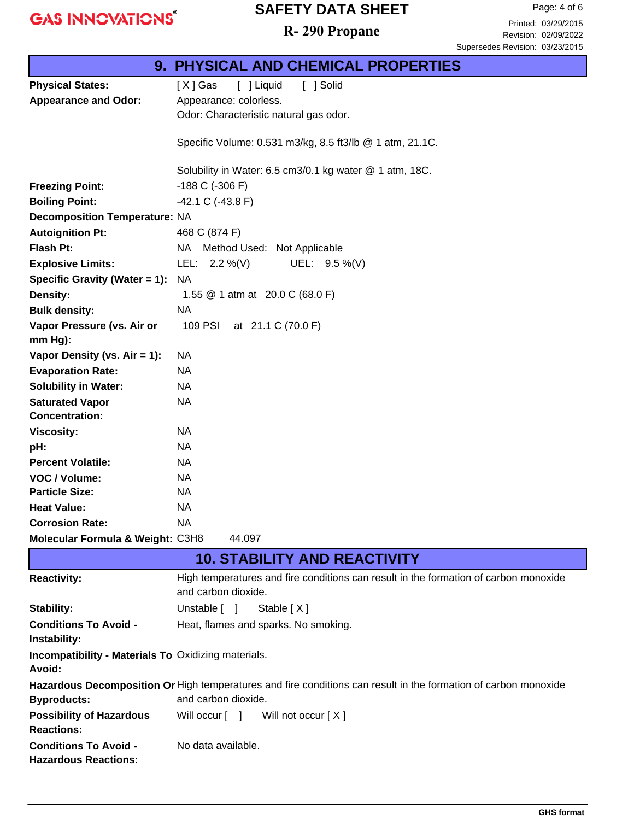# **SAFETY DATA SHEET**<br>Printed: 03/29/2015

**R- 290 Propane** 

Revision: 02/09/2022 Supersedes Revision: 03/23/2015

|                                                            | <b>9. PHYSICAL AND CHEMICAL PROPERTIES</b>                                                                      |  |  |
|------------------------------------------------------------|-----------------------------------------------------------------------------------------------------------------|--|--|
| <b>Physical States:</b>                                    | [ ] Solid<br>[X] Gas<br>[ ] Liquid                                                                              |  |  |
| <b>Appearance and Odor:</b>                                | Appearance: colorless.                                                                                          |  |  |
|                                                            | Odor: Characteristic natural gas odor.                                                                          |  |  |
|                                                            |                                                                                                                 |  |  |
|                                                            | Specific Volume: 0.531 m3/kg, 8.5 ft3/lb @ 1 atm, 21.1C.                                                        |  |  |
|                                                            | Solubility in Water: 6.5 cm3/0.1 kg water @ 1 atm, 18C.                                                         |  |  |
| <b>Freezing Point:</b>                                     | $-188$ C ( $-306$ F)                                                                                            |  |  |
| <b>Boiling Point:</b>                                      | $-42.1 C (-43.8 F)$                                                                                             |  |  |
| <b>Decomposition Temperature: NA</b>                       |                                                                                                                 |  |  |
| <b>Autoignition Pt:</b>                                    | 468 C (874 F)                                                                                                   |  |  |
| <b>Flash Pt:</b>                                           | NA Method Used: Not Applicable                                                                                  |  |  |
| <b>Explosive Limits:</b>                                   | UEL: 9.5 %(V)<br>LEL: $2.2\%$ (V)                                                                               |  |  |
| Specific Gravity (Water $= 1$ ):                           | <b>NA</b>                                                                                                       |  |  |
| Density:                                                   | 1.55 @ 1 atm at 20.0 C (68.0 F)                                                                                 |  |  |
| <b>Bulk density:</b>                                       | <b>NA</b>                                                                                                       |  |  |
| Vapor Pressure (vs. Air or                                 | at 21.1 C (70.0 F)<br>109 PSI                                                                                   |  |  |
| $mm Hg$ ):                                                 |                                                                                                                 |  |  |
| Vapor Density (vs. $Air = 1$ ):                            | NA.                                                                                                             |  |  |
| <b>Evaporation Rate:</b>                                   | <b>NA</b>                                                                                                       |  |  |
| <b>Solubility in Water:</b>                                | <b>NA</b>                                                                                                       |  |  |
| <b>Saturated Vapor</b>                                     | <b>NA</b>                                                                                                       |  |  |
| <b>Concentration:</b>                                      |                                                                                                                 |  |  |
| <b>Viscosity:</b>                                          | <b>NA</b>                                                                                                       |  |  |
| pH:                                                        | <b>NA</b>                                                                                                       |  |  |
| <b>Percent Volatile:</b>                                   | <b>NA</b>                                                                                                       |  |  |
| VOC / Volume:                                              | <b>NA</b>                                                                                                       |  |  |
| <b>Particle Size:</b>                                      | <b>NA</b>                                                                                                       |  |  |
| <b>Heat Value:</b>                                         | <b>NA</b>                                                                                                       |  |  |
| <b>Corrosion Rate:</b>                                     | NA.                                                                                                             |  |  |
| Molecular Formula & Weight: C3H8                           | 44.097                                                                                                          |  |  |
|                                                            | <b>10. STABILITY AND REACTIVITY</b>                                                                             |  |  |
| <b>Reactivity:</b>                                         | High temperatures and fire conditions can result in the formation of carbon monoxide                            |  |  |
|                                                            | and carbon dioxide.                                                                                             |  |  |
| <b>Stability:</b>                                          | Unstable $\begin{bmatrix} 1 \end{bmatrix}$<br>Stable $[X]$                                                      |  |  |
| <b>Conditions To Avoid -</b>                               | Heat, flames and sparks. No smoking.                                                                            |  |  |
| Instability:                                               |                                                                                                                 |  |  |
| <b>Incompatibility - Materials To Oxidizing materials.</b> |                                                                                                                 |  |  |
| Avoid:                                                     |                                                                                                                 |  |  |
|                                                            | Hazardous Decomposition Or High temperatures and fire conditions can result in the formation of carbon monoxide |  |  |
| <b>Byproducts:</b>                                         | and carbon dioxide.                                                                                             |  |  |
| <b>Possibility of Hazardous</b>                            | Will not occur [ X ]<br>Will occur [ ]                                                                          |  |  |
| <b>Reactions:</b>                                          |                                                                                                                 |  |  |
| <b>Conditions To Avoid -</b>                               | No data available.                                                                                              |  |  |
| <b>Hazardous Reactions:</b>                                |                                                                                                                 |  |  |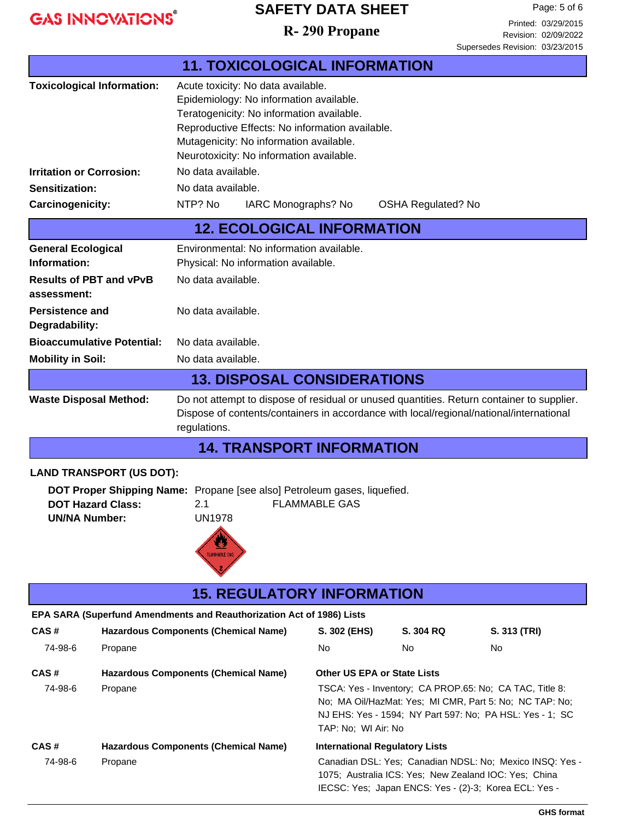# **SAFETY DATA SHEET**<br>Printed: 03/29/2015

**R- 290 Propane** 

Revision: 02/09/2022 Supersedes Revision: 03/23/2015

|                                                                                                                                                                                                                                         |                                   | <b>11. TOXICOLOGICAL INFORMATION</b>                                                                                                                                                                                                                                 |                                                                                                                                                                                                       |                                       |              |
|-----------------------------------------------------------------------------------------------------------------------------------------------------------------------------------------------------------------------------------------|-----------------------------------|----------------------------------------------------------------------------------------------------------------------------------------------------------------------------------------------------------------------------------------------------------------------|-------------------------------------------------------------------------------------------------------------------------------------------------------------------------------------------------------|---------------------------------------|--------------|
|                                                                                                                                                                                                                                         | <b>Toxicological Information:</b> | Acute toxicity: No data available.<br>Epidemiology: No information available.<br>Teratogenicity: No information available.<br>Reproductive Effects: No information available.<br>Mutagenicity: No information available.<br>Neurotoxicity: No information available. |                                                                                                                                                                                                       |                                       |              |
| <b>Irritation or Corrosion:</b>                                                                                                                                                                                                         |                                   | No data available.                                                                                                                                                                                                                                                   |                                                                                                                                                                                                       |                                       |              |
| <b>Sensitization:</b>                                                                                                                                                                                                                   |                                   | No data available.                                                                                                                                                                                                                                                   |                                                                                                                                                                                                       |                                       |              |
| Carcinogenicity:                                                                                                                                                                                                                        |                                   | NTP? No<br>IARC Monographs? No                                                                                                                                                                                                                                       |                                                                                                                                                                                                       | <b>OSHA Regulated? No</b>             |              |
|                                                                                                                                                                                                                                         |                                   | <b>12. ECOLOGICAL INFORMATION</b>                                                                                                                                                                                                                                    |                                                                                                                                                                                                       |                                       |              |
| <b>General Ecological</b><br>Information:                                                                                                                                                                                               |                                   | Environmental: No information available.<br>Physical: No information available.                                                                                                                                                                                      |                                                                                                                                                                                                       |                                       |              |
| assessment:                                                                                                                                                                                                                             | <b>Results of PBT and vPvB</b>    | No data available.                                                                                                                                                                                                                                                   |                                                                                                                                                                                                       |                                       |              |
| <b>Persistence and</b><br>Degradability:                                                                                                                                                                                                |                                   | No data available.                                                                                                                                                                                                                                                   |                                                                                                                                                                                                       |                                       |              |
|                                                                                                                                                                                                                                         | <b>Bioaccumulative Potential:</b> | No data available.                                                                                                                                                                                                                                                   |                                                                                                                                                                                                       |                                       |              |
| <b>Mobility in Soil:</b>                                                                                                                                                                                                                |                                   | No data available.                                                                                                                                                                                                                                                   |                                                                                                                                                                                                       |                                       |              |
|                                                                                                                                                                                                                                         |                                   | <b>13. DISPOSAL CONSIDERATIONS</b>                                                                                                                                                                                                                                   |                                                                                                                                                                                                       |                                       |              |
| <b>Waste Disposal Method:</b>                                                                                                                                                                                                           |                                   | regulations.                                                                                                                                                                                                                                                         | Do not attempt to dispose of residual or unused quantities. Return container to supplier.<br>Dispose of contents/containers in accordance with local/regional/national/international                  |                                       |              |
|                                                                                                                                                                                                                                         |                                   | <b>14. TRANSPORT INFORMATION</b>                                                                                                                                                                                                                                     |                                                                                                                                                                                                       |                                       |              |
| <b>LAND TRANSPORT (US DOT):</b><br>DOT Proper Shipping Name: Propane [see also] Petroleum gases, liquefied.<br><b>FLAMMABLE GAS</b><br><b>DOT Hazard Class:</b><br>2.1<br><b>UN/NA Number:</b><br><b>UN1978</b><br><b>FLAMMABLE GAS</b> |                                   |                                                                                                                                                                                                                                                                      |                                                                                                                                                                                                       |                                       |              |
|                                                                                                                                                                                                                                         |                                   | <b>15. REGULATORY INFORMATION</b>                                                                                                                                                                                                                                    |                                                                                                                                                                                                       |                                       |              |
|                                                                                                                                                                                                                                         |                                   | EPA SARA (Superfund Amendments and Reauthorization Act of 1986) Lists                                                                                                                                                                                                |                                                                                                                                                                                                       |                                       |              |
| CAS#                                                                                                                                                                                                                                    |                                   | <b>Hazardous Components (Chemical Name)</b>                                                                                                                                                                                                                          | S. 302 (EHS)                                                                                                                                                                                          | S. 304 RQ                             | S. 313 (TRI) |
| 74-98-6                                                                                                                                                                                                                                 | Propane                           |                                                                                                                                                                                                                                                                      | No                                                                                                                                                                                                    | No                                    | No.          |
| CAS#                                                                                                                                                                                                                                    |                                   | <b>Hazardous Components (Chemical Name)</b>                                                                                                                                                                                                                          |                                                                                                                                                                                                       | <b>Other US EPA or State Lists</b>    |              |
| 74-98-6                                                                                                                                                                                                                                 | Propane                           |                                                                                                                                                                                                                                                                      | TSCA: Yes - Inventory; CA PROP.65: No; CA TAC, Title 8:<br>No; MA Oil/HazMat: Yes; MI CMR, Part 5: No; NC TAP: No;<br>NJ EHS: Yes - 1594; NY Part 597: No; PA HSL: Yes - 1; SC<br>TAP: No; WI Air: No |                                       |              |
| CAS#                                                                                                                                                                                                                                    |                                   | <b>Hazardous Components (Chemical Name)</b>                                                                                                                                                                                                                          |                                                                                                                                                                                                       | <b>International Regulatory Lists</b> |              |
| 74-98-6                                                                                                                                                                                                                                 | Propane                           |                                                                                                                                                                                                                                                                      | Canadian DSL: Yes; Canadian NDSL: No; Mexico INSQ: Yes -<br>1075; Australia ICS: Yes; New Zealand IOC: Yes; China<br>IECSC: Yes; Japan ENCS: Yes - (2)-3; Korea ECL: Yes -                            |                                       |              |